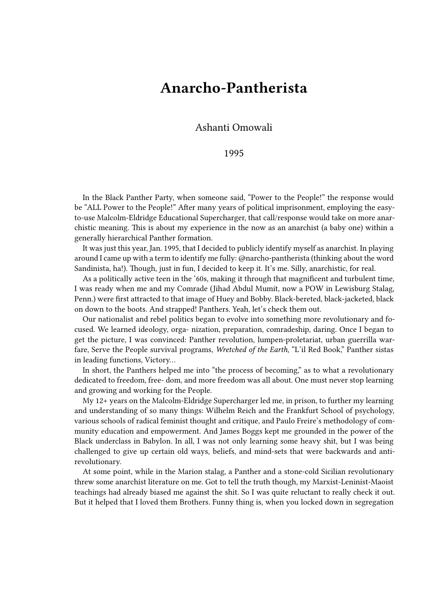## **Anarcho-Pantherista**

Ashanti Omowali

1995

In the Black Panther Party, when someone said, "Power to the People!" the response would be "ALL Power to the People!" After many years of political imprisonment, employing the easyto-use Malcolm-Eldridge Educational Supercharger, that call/response would take on more anarchistic meaning. This is about my experience in the now as an anarchist (a baby one) within a generally hierarchical Panther formation.

It was just this year, Jan. 1995, that I decided to publicly identify myself as anarchist. In playing around I came up with a term to identify me fully: @narcho-pantherista (thinking about the word Sandinista, ha!). Though, just in fun, I decided to keep it. It's me. Silly, anarchistic, for real.

As a politically active teen in the '60s, making it through that magnificent and turbulent time, I was ready when me and my Comrade (Jihad Abdul Mumit, now a POW in Lewisburg Stalag, Penn.) were first attracted to that image of Huey and Bobby. Black-bereted, black-jacketed, black on down to the boots. And strapped! Panthers. Yeah, let's check them out.

Our nationalist and rebel politics began to evolve into something more revolutionary and focused. We learned ideology, orga- nization, preparation, comradeship, daring. Once I began to get the picture, I was convinced: Panther revolution, lumpen-proletariat, urban guerrilla warfare, Serve the People survival programs, *Wretched of the Earth*, "L'il Red Book," Panther sistas in leading functions, Victory…

In short, the Panthers helped me into "the process of becoming," as to what a revolutionary dedicated to freedom, free- dom, and more freedom was all about. One must never stop learning and growing and working for the People.

My 12+ years on the Malcolm-Eldridge Supercharger led me, in prison, to further my learning and understanding of so many things: Wilhelm Reich and the Frankfurt School of psychology, various schools of radical feminist thought and critique, and Paulo Freire's methodology of community education and empowerment. And James Boggs kept me grounded in the power of the Black underclass in Babylon. In all, I was not only learning some heavy shit, but I was being challenged to give up certain old ways, beliefs, and mind-sets that were backwards and antirevolutionary.

At some point, while in the Marion stalag, a Panther and a stone-cold Sicilian revolutionary threw some anarchist literature on me. Got to tell the truth though, my Marxist-Leninist-Maoist teachings had already biased me against the shit. So I was quite reluctant to really check it out. But it helped that I loved them Brothers. Funny thing is, when you locked down in segregation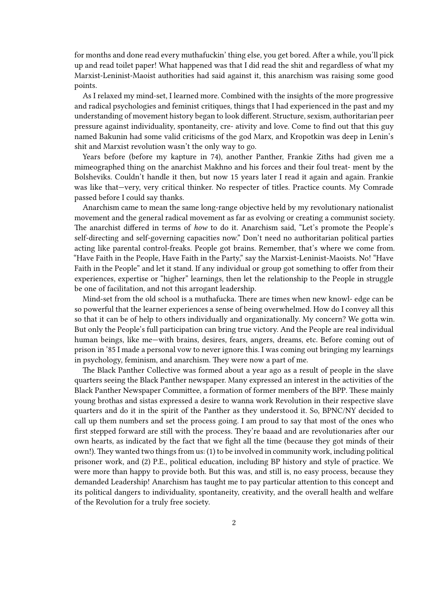for months and done read every muthafuckin' thing else, you get bored. After a while, you'll pick up and read toilet paper! What happened was that I did read the shit and regardless of what my Marxist-Leninist-Maoist authorities had said against it, this anarchism was raising some good points.

As I relaxed my mind-set, I learned more. Combined with the insights of the more progressive and radical psychologies and feminist critiques, things that I had experienced in the past and my understanding of movement history began to look different. Structure, sexism, authoritarian peer pressure against individuality, spontaneity, cre- ativity and love. Come to find out that this guy named Bakunin had some valid criticisms of the god Marx, and Kropotkin was deep in Lenin's shit and Marxist revolution wasn't the only way to go.

Years before (before my kapture in 74), another Panther, Frankie Ziths had given me a mimeographed thing on the anarchist Makhno and his forces and their foul treat- ment by the Bolsheviks. Couldn't handle it then, but now 15 years later I read it again and again. Frankie was like that—very, very critical thinker. No respecter of titles. Practice counts. My Comrade passed before I could say thanks.

Anarchism came to mean the same long-range objective held by my revolutionary nationalist movement and the general radical movement as far as evolving or creating a communist society. The anarchist differed in terms of *how* to do it. Anarchism said, "Let's promote the People's self-directing and self-governing capacities now." Don't need no authoritarian political parties acting like parental control-freaks. People got brains. Remember, that's where we come from. "Have Faith in the People, Have Faith in the Party," say the Marxist-Leninist-Maoists. No! "Have Faith in the People" and let it stand. If any individual or group got something to offer from their experiences, expertise or "higher" learnings, then let the relationship to the People in struggle be one of facilitation, and not this arrogant leadership.

Mind-set from the old school is a muthafucka. There are times when new knowl- edge can be so powerful that the learner experiences a sense of being overwhelmed. How do I convey all this so that it can be of help to others individually and organizationally. My concern? We gotta win. But only the People's full participation can bring true victory. And the People are real individual human beings, like me—with brains, desires, fears, angers, dreams, etc. Before coming out of prison in '85 I made a personal vow to never ignore this. I was coming out bringing my learnings in psychology, feminism, and anarchism. They were now a part of me.

The Black Panther Collective was formed about a year ago as a result of people in the slave quarters seeing the Black Panther newspaper. Many expressed an interest in the activities of the Black Panther Newspaper Committee, a formation of former members of the BPP. These mainly young brothas and sistas expressed a desire to wanna work Revolution in their respective slave quarters and do it in the spirit of the Panther as they understood it. So, BPNC/NY decided to call up them numbers and set the process going. I am proud to say that most of the ones who first stepped forward are still with the process. They're baaad and are revolutionaries after our own hearts, as indicated by the fact that we fight all the time (because they got minds of their own!). They wanted two things from us: (1) to be involved in community work, including political prisoner work, and (2) P.E., political education, including BP history and style of practice. We were more than happy to provide both. But this was, and still is, no easy process, because they demanded Leadership! Anarchism has taught me to pay particular attention to this concept and its political dangers to individuality, spontaneity, creativity, and the overall health and welfare of the Revolution for a truly free society.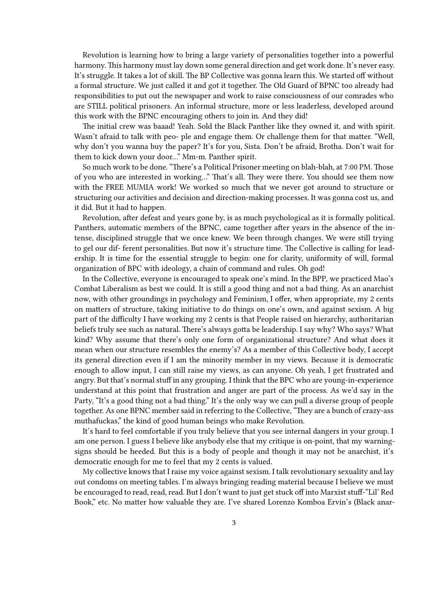Revolution is learning how to bring a large variety of personalities together into a powerful harmony. This harmony must lay down some general direction and get work done. It's never easy. It's struggle. It takes a lot of skill. The BP Collective was gonna learn this. We started off without a formal structure. We just called it and got it together. The Old Guard of BPNC too already had responsibilities to put out the newspaper and work to raise consciousness of our comrades who are STILL political prisoners. An informal structure, more or less leaderless, developed around this work with the BPNC encouraging others to join in. And they did!

The initial crew was baaad! Yeah. Sold the Black Panther like they owned it, and with spirit. Wasn't afraid to talk with peo- ple and engage them. Or challenge them for that matter. "Well, why don't you wanna buy the paper? It's for you, Sista. Don't be afraid, Brotha. Don't wait for them to kick down your door…" Mm-m. Panther spirit.

So much work to be done. "There's a Political Prisoner meeting on blah-blah, at 7:00 PM. Those of you who are interested in working…" That's all. They were there. You should see them now with the FREE MUMIA work! We worked so much that we never got around to structure or structuring our activities and decision and direction-making processes. It was gonna cost us, and it did. But it had to happen.

Revolution, after defeat and years gone by, is as much psychological as it is formally political. Panthers, automatic members of the BPNC, came together after years in the absence of the intense, disciplined struggle that we once knew. We been through changes. We were still trying to gel our dif- ferent personalities. But now it's structure time. The Collective is calling for leadership. It is time for the essential struggle to begin: one for clarity, uniformity of will, formal organization of BPC with ideology, a chain of command and rules. Oh god!

In the Collective, everyone is encouraged to speak one's mind. In the BPP, we practiced Mao's Combat Liberalism as best we could. It is still a good thing and not a bad thing. As an anarchist now, with other groundings in psychology and Feminism, I offer, when appropriate, my 2 cents on matters of structure, taking initiative to do things on one's own, and against sexism. A big part of the difficulty I have working my 2 cents is that People raised on hierarchy, authoritarian beliefs truly see such as natural. There's always gotta be leadership. I say why? Who says? What kind? Why assume that there's only one form of organizational structure? And what does it mean when our structure resembles the enemy's? As a member of this Collective body, I accept its general direction even if I am the minority member in my views. Because it is democratic enough to allow input, I can still raise my views, as can anyone. Oh yeah, I get frustrated and angry. But that's normal stuff in any grouping. I think that the BPC who are young-in-experience understand at this point that frustration and anger are part of the process. As we'd say in the Party, "It's a good thing not a bad thing." It's the only way we can pull a diverse group of people together. As one BPNC member said in referring to the Collective, "They are a bunch of crazy-ass muthafuckas," the kind of good human beings who make Revolution.

It's hard to feel comfortable if you truly believe that you see internal dangers in your group. I am one person. I guess I believe like anybody else that my critique is on-point, that my warningsigns should be heeded. But this is a body of people and though it may not be anarchist, it's democratic enough for me to feel that my 2 cents is valued.

My collective knows that I raise my voice against sexism. I talk revolutionary sexuality and lay out condoms on meeting tables. I'm always bringing reading material because I believe we must be encouraged to read, read, read. But I don't want to just get stuck off into Marxist stuff-"Lil' Red Book," etc. No matter how valuable they are. I've shared Lorenzo Komboa Ervin's (Black anar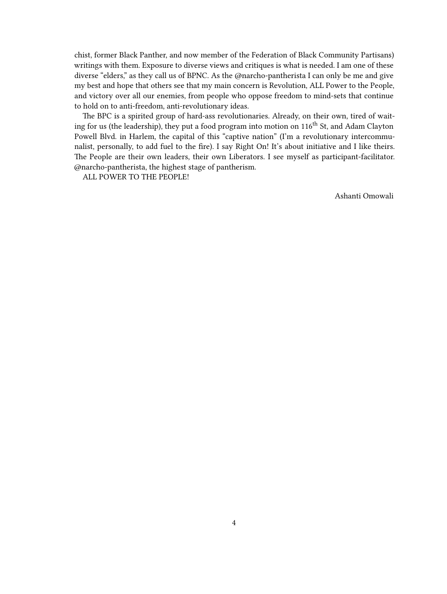chist, former Black Panther, and now member of the Federation of Black Community Partisans) writings with them. Exposure to diverse views and critiques is what is needed. I am one of these diverse "elders," as they call us of BPNC. As the @narcho-pantherista I can only be me and give my best and hope that others see that my main concern is Revolution, ALL Power to the People, and victory over all our enemies, from people who oppose freedom to mind-sets that continue to hold on to anti-freedom, anti-revolutionary ideas.

The BPC is a spirited group of hard-ass revolutionaries. Already, on their own, tired of waiting for us (the leadership), they put a food program into motion on 116<sup>th</sup> St, and Adam Clayton Powell Blvd. in Harlem, the capital of this "captive nation" (I'm a revolutionary intercommunalist, personally, to add fuel to the fire). I say Right On! It's about initiative and I like theirs. The People are their own leaders, their own Liberators. I see myself as participant-facilitator. @narcho-pantherista, the highest stage of pantherism.

ALL POWER TO THE PEOPLE!

Ashanti Omowali